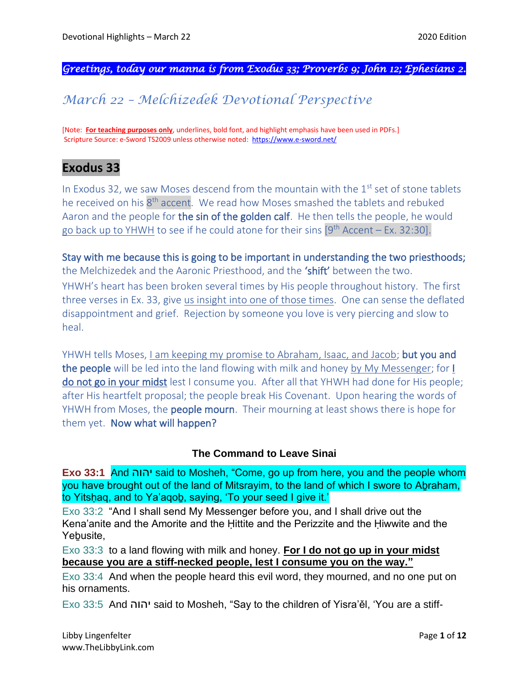*Greetings, today our manna is from Exodus 33; Proverbs 9; John 12; Ephesians 2.* 

# *March 22 – Melchizedek Devotional Perspective*

[Note: **For teaching purposes only**, underlines, bold font, and highlight emphasis have been used in PDFs.] Scripture Source: e-Sword TS2009 unless otherwise noted: <https://www.e-sword.net/>

## **Exodus 33**

In Exodus 32, we saw Moses descend from the mountain with the  $1<sup>st</sup>$  set of stone tablets he received on his 8<sup>th</sup> accent. We read how Moses smashed the tablets and rebuked Aaron and the people for the sin of the golden calf. He then tells the people, he would go back up to YHWH to see if he could atone for their sins  $[9<sup>th</sup>$  Accent – Ex. 32:30].

Stay with me because this is going to be important in understanding the two priesthoods; the Melchizedek and the Aaronic Priesthood, and the 'shift' between the two. YHWH's heart has been broken several times by His people throughout history. The first three verses in Ex. 33, give us insight into one of those times. One can sense the deflated disappointment and grief. Rejection by someone you love is very piercing and slow to heal.

YHWH tells Moses, I am keeping my promise to Abraham, Isaac, and Jacob; but you and the people will be led into the land flowing with milk and honey by My Messenger; for I do not go in your midst lest I consume you. After all that YHWH had done for His people; after His heartfelt proposal; the people break His Covenant. Upon hearing the words of YHWH from Moses, the people mourn. Their mourning at least shows there is hope for them yet. Now what will happen?

#### **The Command to Leave Sinai**

**Exo 33:1** And יהוה said to Mosheh, "Come, go up from here, you and the people whom you have brought out of the land of Mitsrayim, to the land of which I swore to Aḇraham, to Yitsḥaq, and to Ya'aqoḇ, saying, 'To your seed I give it.'

Exo 33:2 "And I shall send My Messenger before you, and I shall drive out the Kena'anite and the Amorite and the Ḥittite and the Perizzite and the Ḥiwwite and the Yebusite,

Exo 33:3 to a land flowing with milk and honey. **For I do not go up in your midst because you are a stiff-necked people, lest I consume you on the way."**

Exo 33:4 And when the people heard this evil word, they mourned, and no one put on his ornaments.

Exo 33:5 And יהוה said to Mosheh, "Say to the children of Yisra'ěl, 'You are a stiff-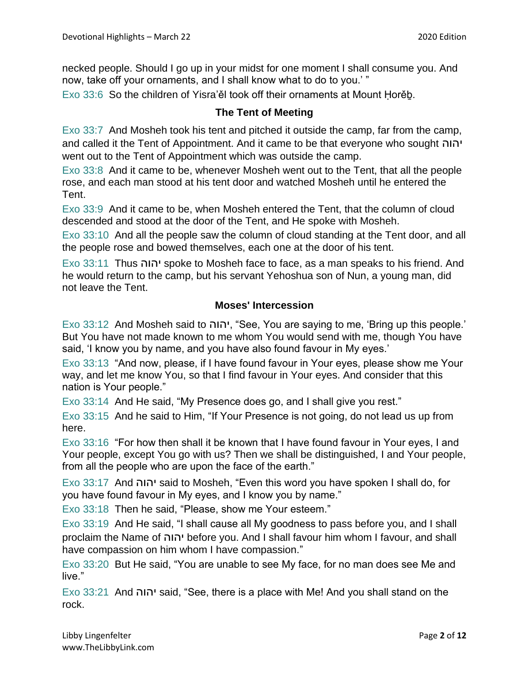necked people. Should I go up in your midst for one moment I shall consume you. And now, take off your ornaments, and I shall know what to do to you.' "

Exo 33:6 So the children of Yisra'ěl took off their ornaments at Mount Ḥorěḇ.

#### **The Tent of Meeting**

Exo 33:7 And Mosheh took his tent and pitched it outside the camp, far from the camp, and called it the Tent of Appointment. And it came to be that everyone who sought יהוה went out to the Tent of Appointment which was outside the camp.

Exo 33:8 And it came to be, whenever Mosheh went out to the Tent, that all the people rose, and each man stood at his tent door and watched Mosheh until he entered the Tent.

Exo 33:9 And it came to be, when Mosheh entered the Tent, that the column of cloud descended and stood at the door of the Tent, and He spoke with Mosheh.

Exo 33:10 And all the people saw the column of cloud standing at the Tent door, and all the people rose and bowed themselves, each one at the door of his tent.

Exo 33:11 Thus יהוה spoke to Mosheh face to face, as a man speaks to his friend. And he would return to the camp, but his servant Yehoshua son of Nun, a young man, did not leave the Tent.

#### **Moses' Intercession**

Exo 33:12 And Mosheh said to יהוה," See, You are saying to me, 'Bring up this people.' But You have not made known to me whom You would send with me, though You have said, 'I know you by name, and you have also found favour in My eyes.'

Exo 33:13 "And now, please, if I have found favour in Your eyes, please show me Your way, and let me know You, so that I find favour in Your eyes. And consider that this nation is Your people."

Exo 33:14 And He said, "My Presence does go, and I shall give you rest."

Exo 33:15 And he said to Him, "If Your Presence is not going, do not lead us up from here.

Exo 33:16 "For how then shall it be known that I have found favour in Your eyes, I and Your people, except You go with us? Then we shall be distinguished, I and Your people, from all the people who are upon the face of the earth."

Exo 33:17 And יהוה said to Mosheh, "Even this word you have spoken I shall do, for you have found favour in My eyes, and I know you by name."

Exo 33:18 Then he said, "Please, show me Your esteem."

Exo 33:19 And He said, "I shall cause all My goodness to pass before you, and I shall proclaim the Name of יהוה before you. And I shall favour him whom I favour, and shall have compassion on him whom I have compassion."

Exo 33:20 But He said, "You are unable to see My face, for no man does see Me and live."

Exo 33:21 And יהוה said, "See, there is a place with Me! And you shall stand on the rock.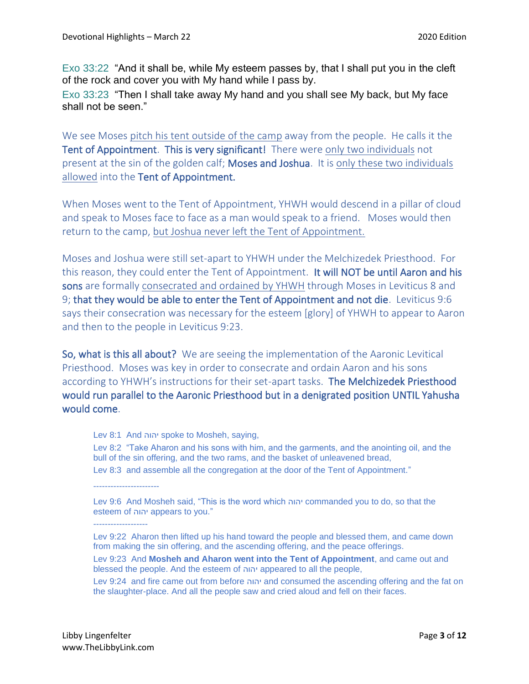Exo 33:22 "And it shall be, while My esteem passes by, that I shall put you in the cleft of the rock and cover you with My hand while I pass by.

Exo 33:23 "Then I shall take away My hand and you shall see My back, but My face shall not be seen."

We see Moses pitch his tent outside of the camp away from the people. He calls it the Tent of Appointment. This is very significant! There were only two individuals not present at the sin of the golden calf; Moses and Joshua. It is only these two individuals allowed into the Tent of Appointment.

When Moses went to the Tent of Appointment, YHWH would descend in a pillar of cloud and speak to Moses face to face as a man would speak to a friend. Moses would then return to the camp, but Joshua never left the Tent of Appointment.

Moses and Joshua were still set-apart to YHWH under the Melchizedek Priesthood. For this reason, they could enter the Tent of Appointment. It will NOT be until Aaron and his sons are formally consecrated and ordained by YHWH through Moses in Leviticus 8 and 9; that they would be able to enter the Tent of Appointment and not die. Leviticus 9:6 says their consecration was necessary for the esteem [glory] of YHWH to appear to Aaron and then to the people in Leviticus 9:23.

So, what is this all about? We are seeing the implementation of the Aaronic Levitical Priesthood. Moses was key in order to consecrate and ordain Aaron and his sons according to YHWH's instructions for their set-apart tasks. The Melchizedek Priesthood would run parallel to the Aaronic Priesthood but in a denigrated position UNTIL Yahusha would come.

Lev 8:1 And יהוה spoke to Mosheh, saying,

Lev 8:2 "Take Aharon and his sons with him, and the garments, and the anointing oil, and the bull of the sin offering, and the two rams, and the basket of unleavened bread, Lev 8:3 and assemble all the congregation at the door of the Tent of Appointment."

Lev 9:6 And Mosheh said, "This is the word which יהוה commanded you to do, so that the esteem of יהוה appears to you."

------------------- Lev 9:22 Aharon then lifted up his hand toward the people and blessed them, and came down from making the sin offering, and the ascending offering, and the peace offerings.

Lev 9:23 And **Mosheh and Aharon went into the Tent of Appointment**, and came out and blessed the people. And the esteem of יהוה appeared to all the people,

Lev 9:24 and fire came out from before יהוה and consumed the ascending offering and the fat on the slaughter-place. And all the people saw and cried aloud and fell on their faces.

-----------------------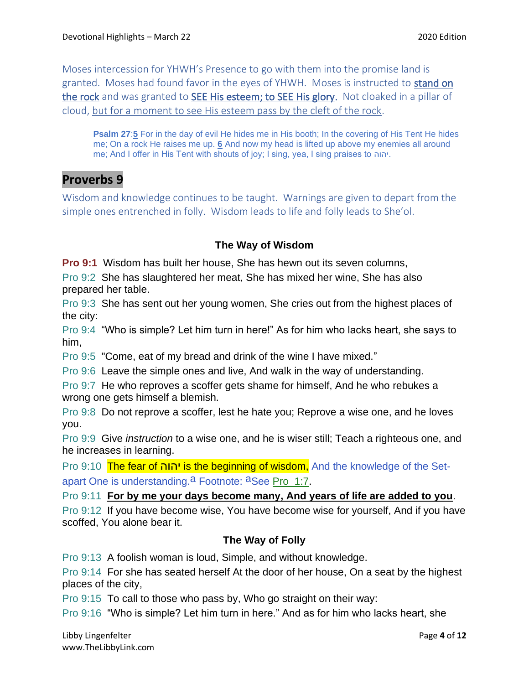Moses intercession for YHWH's Presence to go with them into the promise land is granted. Moses had found favor in the eyes of YHWH. Moses is instructed to stand on the rock and was granted to SEE His esteem; to SEE His glory. Not cloaked in a pillar of cloud, but for a moment to see His esteem pass by the cleft of the rock.

**Psalm 27**:**[5](https://biblehub.com/psalms/27-5.htm)** For in the day of evil He hides me in His booth; In the covering of His Tent He hides me; On a rock He raises me up. **[6](https://biblehub.com/psalms/27-6.htm)** And now my head is lifted up above my enemies all around me; And I offer in His Tent with shouts of joy; I sing, yea, I sing praises to יהוה.

## **Proverbs 9**

Wisdom and knowledge continues to be taught. Warnings are given to depart from the simple ones entrenched in folly. Wisdom leads to life and folly leads to She'ol.

### **The Way of Wisdom**

**Pro 9:1** Wisdom has built her house, She has hewn out its seven columns,

Pro 9:2 She has slaughtered her meat, She has mixed her wine, She has also prepared her table.

Pro 9:3 She has sent out her young women, She cries out from the highest places of the city:

Pro 9:4 "Who is simple? Let him turn in here!" As for him who lacks heart, she says to him,

Pro 9:5 "Come, eat of my bread and drink of the wine I have mixed."

Pro 9:6 Leave the simple ones and live, And walk in the way of understanding.

Pro 9:7 He who reproves a scoffer gets shame for himself, And he who rebukes a wrong one gets himself a blemish.

Pro 9:8 Do not reprove a scoffer, lest he hate you; Reprove a wise one, and he loves you.

Pro 9:9 Give *instruction* to a wise one, and he is wiser still; Teach a righteous one, and he increases in learning.

Pro 9:10 The fear of יהוה is the beginning of wisdom, And the knowledge of the Setapart One is understanding.<sup>a</sup> Footnote: <sup>a</sup>See Pro 1:7.

Pro 9:11 **For by me your days become many, And years of life are added to you**.

Pro 9:12 If you have become wise, You have become wise for yourself, And if you have scoffed, You alone bear it.

## **The Way of Folly**

Pro 9:13 A foolish woman is loud, Simple, and without knowledge.

Pro 9:14 For she has seated herself At the door of her house, On a seat by the highest places of the city,

Pro 9:15 To call to those who pass by, Who go straight on their way:

Pro 9:16 "Who is simple? Let him turn in here." And as for him who lacks heart, she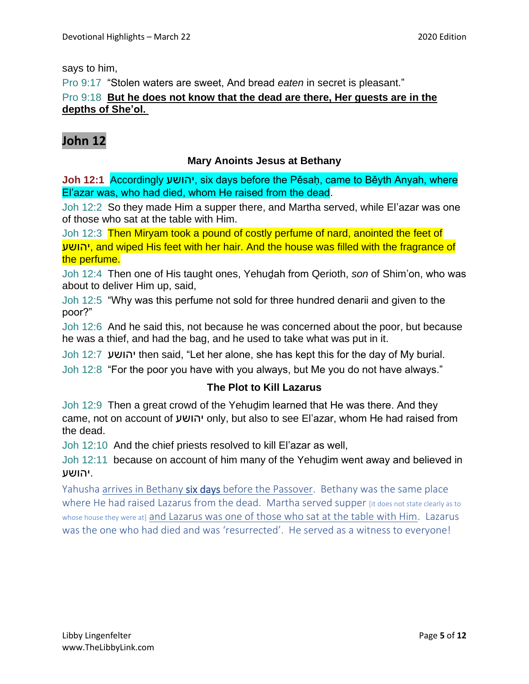#### says to him,

Pro 9:17 "Stolen waters are sweet, And bread *eaten* in secret is pleasant."

#### Pro 9:18 **But he does not know that the dead are there, Her guests are in the depths of She'ol.**

## **John 12**

#### **Mary Anoints Jesus at Bethany**

**Joh 12:1** Accordingly יהושע, six days before the Pěsaḥ, came to Běyth Anyah, where El'azar was, who had died, whom He raised from the dead.

Joh 12:2 So they made Him a supper there, and Martha served, while El'azar was one of those who sat at the table with Him.

Joh 12:3 Then Miryam took a pound of costly perfume of nard, anointed the feet of יהושע, and wiped His feet with her hair. And the house was filled with the fragrance of the perfume.

Joh 12:4 Then one of His taught ones, Yehuḏah from Qerioth, *son* of Shim'on, who was about to deliver Him up, said,

Joh 12:5 "Why was this perfume not sold for three hundred denarii and given to the poor?"

Joh 12:6 And he said this, not because he was concerned about the poor, but because he was a thief, and had the bag, and he used to take what was put in it.

Joh 12:7 יהושע then said, "Let her alone, she has kept this for the day of My burial.

Joh 12:8 "For the poor you have with you always, but Me you do not have always."

#### **The Plot to Kill Lazarus**

Joh 12:9 Then a great crowd of the Yehuḏim learned that He was there. And they came, not on account of יהושע only, but also to see El'azar, whom He had raised from the dead.

Joh 12:10 And the chief priests resolved to kill El'azar as well,

Joh 12:11 because on account of him many of the Yehuḏim went away and believed in .יהושע

Yahusha arrives in Bethany six days before the Passover. Bethany was the same place where He had raised Lazarus from the dead. Martha served supper *fit does not state clearly as to* whose house they were at] and Lazarus was one of those who sat at the table with Him. Lazarus was the one who had died and was 'resurrected'. He served as a witness to everyone!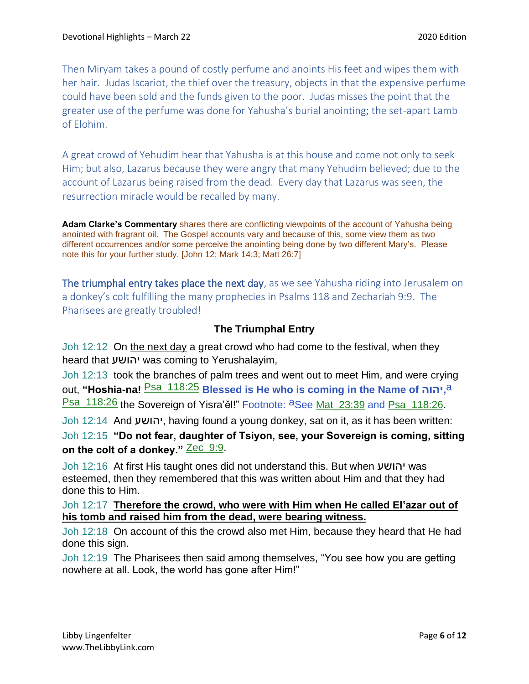Then Miryam takes a pound of costly perfume and anoints His feet and wipes them with her hair. Judas Iscariot, the thief over the treasury, objects in that the expensive perfume could have been sold and the funds given to the poor. Judas misses the point that the greater use of the perfume was done for Yahusha's burial anointing; the set-apart Lamb of Elohim.

A great crowd of Yehudim hear that Yahusha is at this house and come not only to seek Him; but also, Lazarus because they were angry that many Yehudim believed; due to the account of Lazarus being raised from the dead. Every day that Lazarus was seen, the resurrection miracle would be recalled by many.

**Adam Clarke's Commentary** shares there are conflicting viewpoints of the account of Yahusha being anointed with fragrant oil. The Gospel accounts vary and because of this, some view them as two different occurrences and/or some perceive the anointing being done by two different Mary's. Please note this for your further study. [John 12; Mark 14:3; Matt 26:7]

The triumphal entry takes place the next day, as we see Yahusha riding into Jerusalem on a donkey's colt fulfilling the many prophecies in Psalms 118 and Zechariah 9:9. The Pharisees are greatly troubled!

### **The Triumphal Entry**

Joh 12:12 On the next day a great crowd who had come to the festival, when they heard that יהושע was coming to Yerushalayim,

Joh 12:13 took the branches of palm trees and went out to meet Him, and were crying out, **"Hoshia-na!** Psa\_118:25 **Blessed is He who is coming in the Name of יהוה,**a Psa\_118:26 the Sovereign of Yisra'ěl!" Footnote: aSee Mat\_23:39 and Psa\_118:26.

Joh 12:14 And יהושע, having found a young donkey, sat on it, as it has been written:

Joh 12:15 **"Do not fear, daughter of Tsiyon, see, your Sovereign is coming, sitting**  on the colt of a donkey." Zec 9:9.

Joh 12:16 At first His taught ones did not understand this. But when יהושע was esteemed, then they remembered that this was written about Him and that they had done this to Him.

#### Joh 12:17 **Therefore the crowd, who were with Him when He called El'azar out of his tomb and raised him from the dead, were bearing witness.**

Joh 12:18 On account of this the crowd also met Him, because they heard that He had done this sign.

Joh 12:19 The Pharisees then said among themselves, "You see how you are getting nowhere at all. Look, the world has gone after Him!"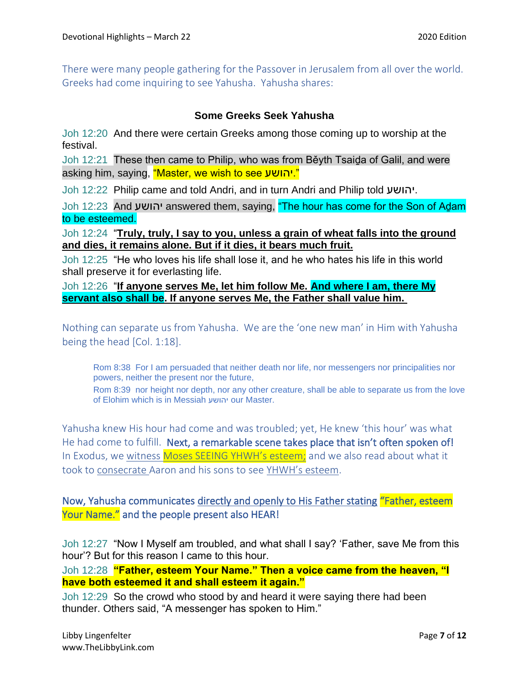There were many people gathering for the Passover in Jerusalem from all over the world. Greeks had come inquiring to see Yahusha. Yahusha shares:

#### **Some Greeks Seek Yahusha**

Joh 12:20 And there were certain Greeks among those coming up to worship at the festival.

Joh 12:21 These then came to Philip, who was from Běyth Tsaiḏa of Galil, and were asking him, saying, "Master, we wish to see יהושע."

Joh 12:22 Philip came and told Andri, and in turn Andri and Philip told יהושע.

Joh 12:23 And יהושע answered them, saying, "The hour has come for the Son of Aḏam to be esteemed.

Joh 12:24 "**Truly, truly, I say to you, unless a grain of wheat falls into the ground and dies, it remains alone. But if it dies, it bears much fruit.**

Joh 12:25 "He who loves his life shall lose it, and he who hates his life in this world shall preserve it for everlasting life.

Joh 12:26 "**If anyone serves Me, let him follow Me. And where I am, there My servant also shall be. If anyone serves Me, the Father shall value him.**

Nothing can separate us from Yahusha. We are the 'one new man' in Him with Yahusha being the head [Col. 1:18].

Rom 8:38 For I am persuaded that neither death nor life, nor messengers nor principalities nor powers, neither the present nor the future,

Rom 8:39 nor height nor depth, nor any other creature, shall be able to separate us from the love of Elohim which is in Messiah יהושע our Master.

Yahusha knew His hour had come and was troubled; yet, He knew 'this hour' was what He had come to fulfill. Next, a remarkable scene takes place that isn't often spoken of! In Exodus, we witness Moses SEEING YHWH's esteem; and we also read about what it took to consecrate Aaron and his sons to see YHWH's esteem.

Now, Yahusha communicates directly and openly to His Father stating "Father, esteem Your Name." and the people present also HEAR!

Joh 12:27 "Now I Myself am troubled, and what shall I say? 'Father, save Me from this hour'? But for this reason I came to this hour.

Joh 12:28 **"Father, esteem Your Name." Then a voice came from the heaven, "I have both esteemed it and shall esteem it again."**

Joh 12:29 So the crowd who stood by and heard it were saying there had been thunder. Others said, "A messenger has spoken to Him."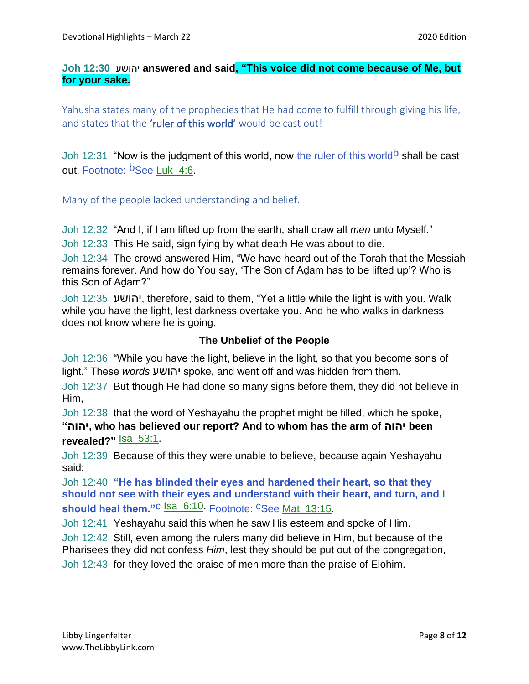#### **Joh 12:30** יהושע **answered and said, "This voice did not come because of Me, but for your sake.**

Yahusha states many of the prophecies that He had come to fulfill through giving his life, and states that the 'ruler of this world' would be cast out!

Joh 12:31 "Now is the judgment of this world, now the ruler of this world<sup>b</sup> shall be cast out. Footnote: <sup>b</sup>See Luk 4:6.

Many of the people lacked understanding and belief.

Joh 12:32 "And I, if I am lifted up from the earth, shall draw all *men* unto Myself."

Joh 12:33 This He said, signifying by what death He was about to die.

Joh 12:34 The crowd answered Him, "We have heard out of the Torah that the Messiah remains forever. And how do You say, 'The Son of Aḏam has to be lifted up'? Who is this Son of Aḏam?"

Joh 12:35 יהושע, therefore, said to them, "Yet a little while the light is with you. Walk while you have the light, lest darkness overtake you. And he who walks in darkness does not know where he is going.

#### **The Unbelief of the People**

Joh 12:36 "While you have the light, believe in the light, so that you become sons of light." These *words* יהושע spoke, and went off and was hidden from them.

Joh 12:37 But though He had done so many signs before them, they did not believe in Him,

Joh 12:38 that the word of Yeshayahu the prophet might be filled, which he spoke, **"יהוה, who has believed our report? And to whom has the arm of יהוה been**  revealed?" Sa 53:1.

Joh 12:39 Because of this they were unable to believe, because again Yeshayahu said:

Joh 12:40 **"He has blinded their eyes and hardened their heart, so that they should not see with their eyes and understand with their heart, and turn, and I**  should heal them."<sup>C</sup> Isa\_6:10. Footnote: CSee Mat 13:15.

Joh 12:41 Yeshayahu said this when he saw His esteem and spoke of Him.

Joh 12:42 Still, even among the rulers many did believe in Him, but because of the Pharisees they did not confess *Him*, lest they should be put out of the congregation, Joh 12:43 for they loved the praise of men more than the praise of Elohim.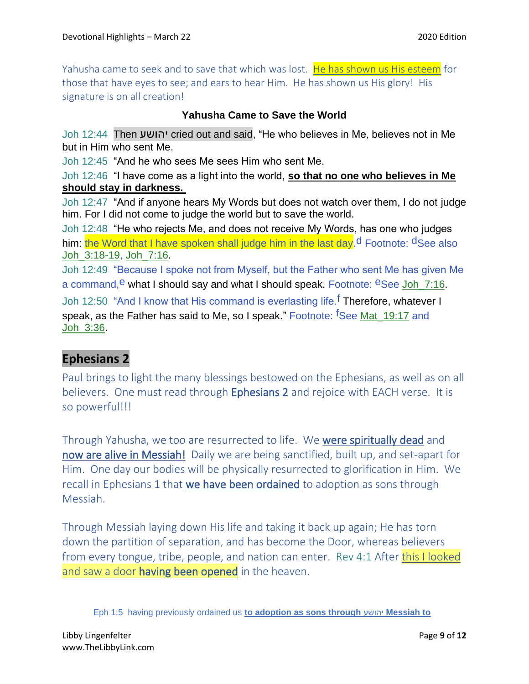Yahusha came to seek and to save that which was lost. He has shown us His esteem for those that have eyes to see; and ears to hear Him. He has shown us His glory! His signature is on all creation!

### **Yahusha Came to Save the World**

Joh 12:44 Then יהושע cried out and said, "He who believes in Me, believes not in Me but in Him who sent Me.

Joh 12:45 "And he who sees Me sees Him who sent Me.

Joh 12:46 "I have come as a light into the world, **so that no one who believes in Me should stay in darkness.**

Joh 12:47 "And if anyone hears My Words but does not watch over them, I do not judge him. For I did not come to judge the world but to save the world.

Joh 12:48 "He who rejects Me, and does not receive My Words, has one who judges him: the Word that I have spoken shall judge him in the last day.<sup>d</sup> Footnote: dSee also Joh\_3:18-19, Joh\_7:16.

Joh 12:49 "Because I spoke not from Myself, but the Father who sent Me has given Me a command,  $e$  what I should say and what I should speak. Footnote:  $e$ See Joh\_7:16.

Joh 12:50 "And I know that His command is everlasting life.<sup>f</sup> Therefore, whatever I speak, as the Father has said to Me, so I speak." Footnote: <sup>f</sup>See Mat 19:17 and Joh\_3:36.

## **Ephesians 2**

Paul brings to light the many blessings bestowed on the Ephesians, as well as on all believers. One must read through Ephesians 2 and rejoice with EACH verse. It is so powerful!!!

Through Yahusha, we too are resurrected to life. We were spiritually dead and now are alive in Messiah! Daily we are being sanctified, built up, and set-apart for Him. One day our bodies will be physically resurrected to glorification in Him. We recall in Ephesians 1 that we have been ordained to adoption as sons through Messiah.

Through Messiah laying down His life and taking it back up again; He has torn down the partition of separation, and has become the Door, whereas believers from every tongue, tribe, people, and nation can enter. Rev 4:1 After this I looked and saw a door **having been opened** in the heaven.

Eph 1:5 having previously ordained us **to adoption as sons through** יהושע **Messiah to**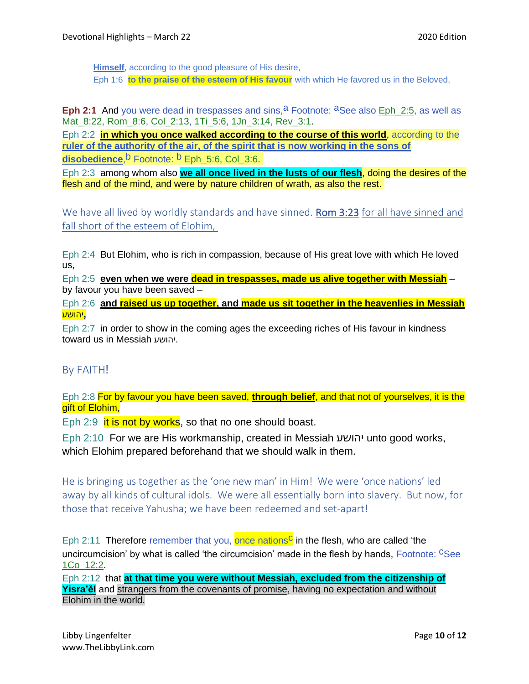**Himself**, according to the good pleasure of His desire, Eph 1:6 **to the praise of the esteem of His favour** with which He favored us in the Beloved,

**Eph 2:1** And you were dead in trespasses and sins, <sup>a</sup> Footnote: <sup>a</sup>See also Eph 2:5, as well as Mat\_8:22, Rom\_8:6, Col\_2:13, 1Ti\_5:6, 1Jn\_3:14, Rev\_3:1.

Eph 2:2 **in which you once walked according to the course of this world**, according to the **ruler of the authority of the air, of the spirit that is now working in the sons of disobedience**,<sup>b</sup> Footnote: <sup>b</sup> Eph 5:6, Col 3:6.

Eph 2:3 among whom also **we all once lived in the lusts of our flesh**, doing the desires of the flesh and of the mind, and were by nature children of wrath, as also the rest.

We have all lived by worldly standards and have sinned. **Rom 3:23** for all have sinned and fall short of the esteem of Elohim,

Eph 2:4 But Elohim, who is rich in compassion, because of His great love with which He loved us,

Eph 2:5 **even when we were dead in trespasses, made us alive together with Messiah** – by favour you have been saved –

Eph 2:6 **and raised us up together, and made us sit together in the heavenlies in Messiah ,**יהושע

Eph 2:7 in order to show in the coming ages the exceeding riches of His favour in kindness toward us in Messiah יהושע.

## By FAITH!

Eph 2:8 For by favour you have been saved, **through belief**, and that not of yourselves, it is the gift of Elohim,

Eph  $2:9$  it is not by works, so that no one should boast.

Eph 2:10 For we are His workmanship, created in Messiah יהושע unto good works, which Elohim prepared beforehand that we should walk in them.

He is bringing us together as the 'one new man' in Him! We were 'once nations' led away by all kinds of cultural idols. We were all essentially born into slavery. But now, for those that receive Yahusha; we have been redeemed and set-apart!

Eph 2:11 Therefore remember that you, once nations<sup>c</sup> in the flesh, who are called 'the uncircumcision' by what is called 'the circumcision' made in the flesh by hands, Footnote: CSee 1Co\_12:2.

Eph 2:12 that **at that time you were without Messiah, excluded from the citizenship of Yisra'ěl** and strangers from the covenants of promise, having no expectation and without Elohim in the world.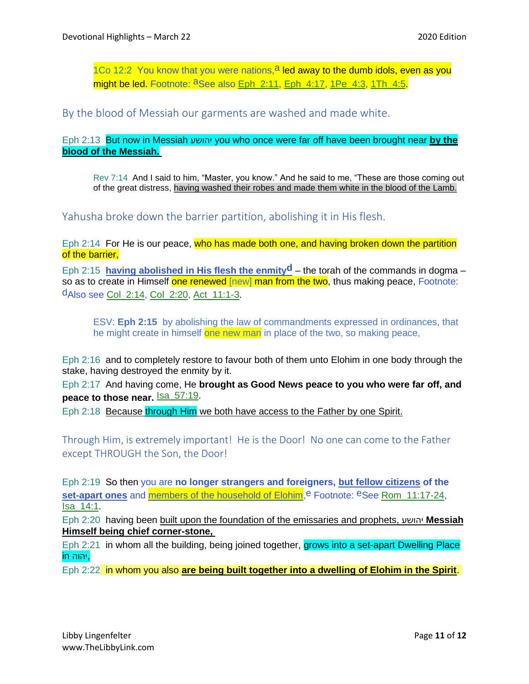1Co 12:2 You know that you were nations,  $a$  led away to the dumb idols, even as you might be led. Footnote: <sup>a</sup>See also Eph\_2:11, Eph\_4:17, 1Pe\_4:3, 1Th\_4:5.

By the blood of Messiah our garments are washed and made white.

Eph 2:13 But now in Messiah יהושע you who once were far off have been brought near **by the blood of the Messiah.**

Rev 7:14 And I said to him, "Master, you know." And he said to me, "These are those coming out of the great distress, having washed their robes and made them white in the blood of the Lamb.

Yahusha broke down the barrier partition, abolishing it in His flesh.

Eph 2:14 For He is our peace, who has made both one, and having broken down the partition of the barrier,

Eph 2:15 **having abolished in His flesh the enmityd** – the torah of the commands in dogma – so as to create in Himself one renewed [new] man from the two, thus making peace, Footnote: dAlso see Col\_2:14, Col\_2:20, Act\_11:1-3.

ESV: **Eph 2:15** by abolishing the law of commandments expressed in ordinances, that he might create in himself one new man in place of the two, so making peace,

Eph 2:16 and to completely restore to favour both of them unto Elohim in one body through the stake, having destroyed the enmity by it.

Eph 2:17 And having come, He **brought as Good News peace to you who were far off, and peace to those near.** Isa\_57:19.

Eph 2:18 Because through Him we both have access to the Father by one Spirit.

Through Him, is extremely important! He is the Door! No one can come to the Father except THROUGH the Son, the Door!

Eph 2:19 So then you are **no longer strangers and foreigners, but fellow citizens of the set-apart ones** and members of the household of Elohim,<sup>e</sup> Footnote: <sup>e</sup>See Rom\_11:17-24, Isa\_14:1.

Eph 2:20 having been built upon the foundation of the emissaries and prophets, יהושע **Messiah Himself being chief corner-stone,**

Eph 2:21 in whom all the building, being joined together, grows into a set-apart Dwelling Place ,יהוה in

Eph 2:22 in whom you also **are being built together into a dwelling of Elohim in the Spirit**.